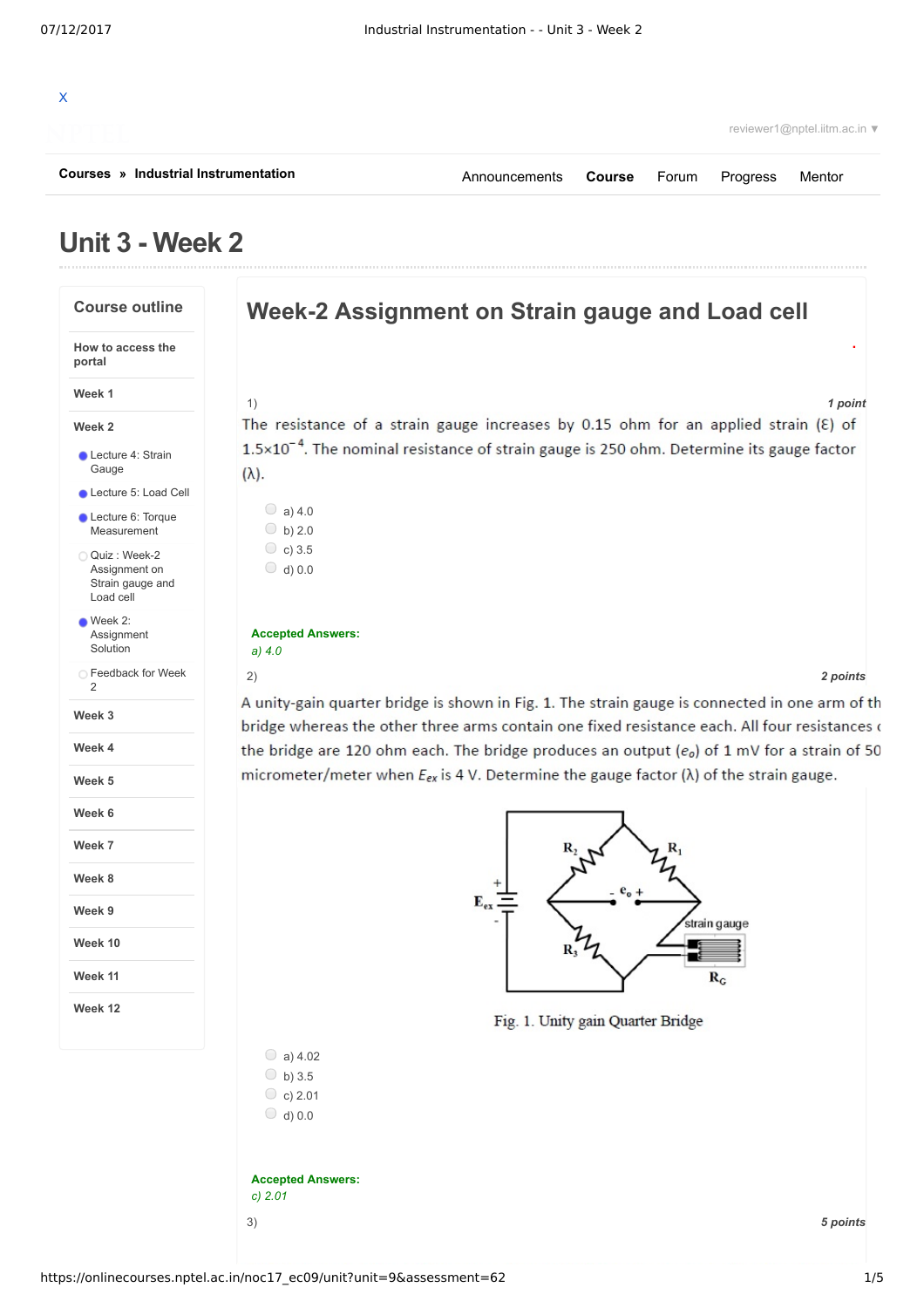

# **Unit 3 - Week 2**



3) *5 points* **Accepted Answers:** *c) 2.01*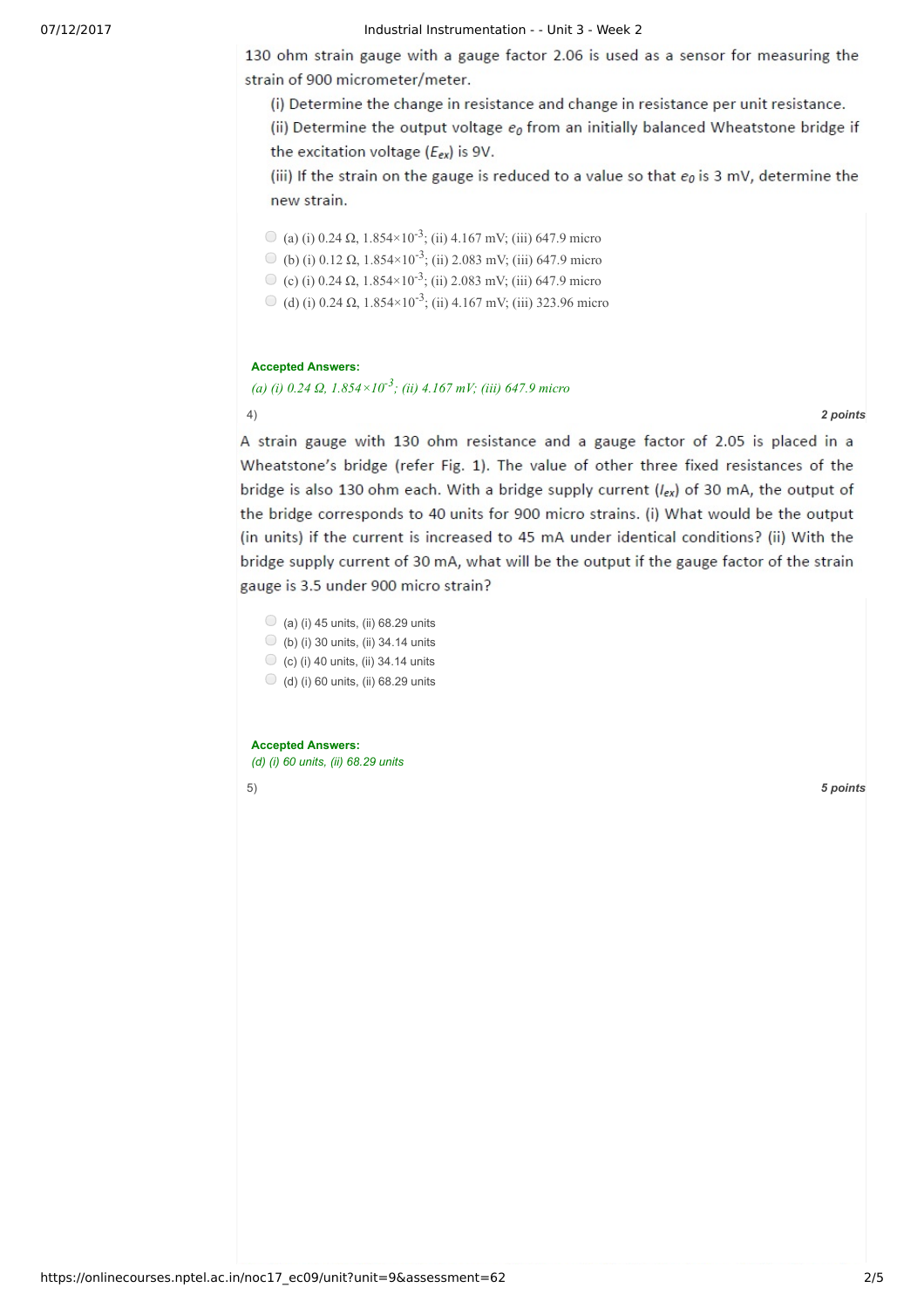## 07/12/2017 Industrial Instrumentation - - Unit 3 - Week 2

130 ohm strain gauge with a gauge factor 2.06 is used as a sensor for measuring the strain of 900 micrometer/meter.

(i) Determine the change in resistance and change in resistance per unit resistance.

(ii) Determine the output voltage  $e_0$  from an initially balanced Wheatstone bridge if the excitation voltage  $(E_{ex})$  is 9V.

(iii) If the strain on the gauge is reduced to a value so that  $e_0$  is 3 mV, determine the new strain.

(a) (i) 0.24  $\Omega$ , 1.854×10<sup>-3</sup>; (ii) 4.167 mV; (iii) 647.9 micro

- (b) (i)  $0.12 \Omega$ ,  $1.854 \times 10^{-3}$ ; (ii)  $2.083 \text{ mV}$ ; (iii) 647.9 micro
- (c) (i) 0.24  $\Omega$ , 1.854×10<sup>-3</sup>; (ii) 2.083 mV; (iii) 647.9 micro
- (d) (i) 0.24  $\Omega$ , 1.854×10<sup>-3</sup>; (ii) 4.167 mV; (iii) 323.96 micro

## **Accepted Answers:**

*(a) (i) 0.24 Ω, 1.854×10 -3 ; (ii) 4.167 mV; (iii) 647.9 micro*

4) *2 points*

A strain gauge with 130 ohm resistance and a gauge factor of 2.05 is placed in a Wheatstone's bridge (refer Fig. 1). The value of other three fixed resistances of the bridge is also 130 ohm each. With a bridge supply current  $(l_{ex})$  of 30 mA, the output of the bridge corresponds to 40 units for 900 micro strains. (i) What would be the output (in units) if the current is increased to 45 mA under identical conditions? (ii) With the bridge supply current of 30 mA, what will be the output if the gauge factor of the strain gauge is 3.5 under 900 micro strain?

- $\bigcirc$  (a) (i) 45 units, (ii) 68.29 units
- $\bigcirc$  (b) (i) 30 units, (ii) 34.14 units
- $\bigcirc$  (c) (i) 40 units, (ii) 34.14 units
- $\bigcirc$  (d) (i) 60 units, (ii) 68.29 units

**Accepted Answers:** *(d) (i) 60 units, (ii) 68.29 units*

5) *5 points*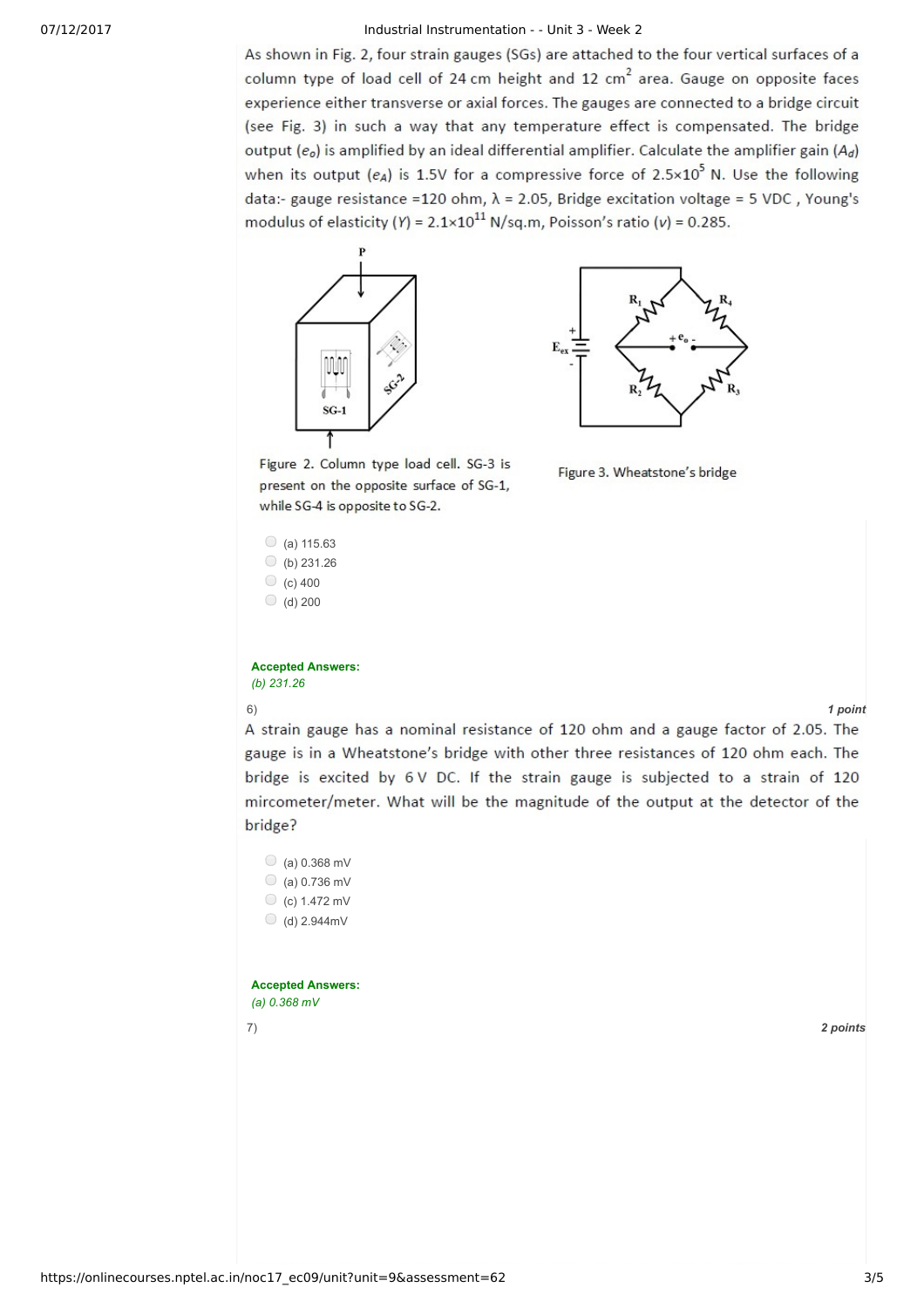## 07/12/2017 Industrial Instrumentation - - Unit 3 - Week 2

As shown in Fig. 2, four strain gauges (SGs) are attached to the four vertical surfaces of a column type of load cell of 24 cm height and 12 cm<sup>2</sup> area. Gauge on opposite faces experience either transverse or axial forces. The gauges are connected to a bridge circuit (see Fig. 3) in such a way that any temperature effect is compensated. The bridge output  $(e_0)$  is amplified by an ideal differential amplifier. Calculate the amplifier gain  $(A_d)$ when its output ( $e_A$ ) is 1.5V for a compressive force of 2.5×10<sup>5</sup> N. Use the following data:- gauge resistance = 120 ohm,  $\lambda$  = 2.05, Bridge excitation voltage = 5 VDC, Young's modulus of elasticity (Y) =  $2.1 \times 10^{11}$  N/sq.m, Poisson's ratio (v) = 0.285.





Figure 3. Wheatstone's bridge

Figure 2. Column type load cell. SG-3 is present on the opposite surface of SG-1, while SG-4 is opposite to SG-2.

```
\circ (a) 115.63
\bigcirc (b) 231.26
\circ (c) 400
\bigcirc (d) 200
```
**Accepted Answers:** *(b) 231.26*

6) *1 point*

A strain gauge has a nominal resistance of 120 ohm and a gauge factor of 2.05. The gauge is in a Wheatstone's bridge with other three resistances of 120 ohm each. The bridge is excited by 6V DC. If the strain gauge is subjected to a strain of 120 mircometer/meter. What will be the magnitude of the output at the detector of the bridge?

| O<br>$(a) 0.368$ mV        |          |
|----------------------------|----------|
| 0<br>(a) 0.736 mV          |          |
| $\bigcirc$<br>(c) 1.472 mV |          |
| O<br>$(d)$ 2.944mV         |          |
| <b>Accepted Answers:</b>   |          |
| (a) $0.368$ mV             |          |
| 7)                         | 2 points |
|                            |          |
|                            |          |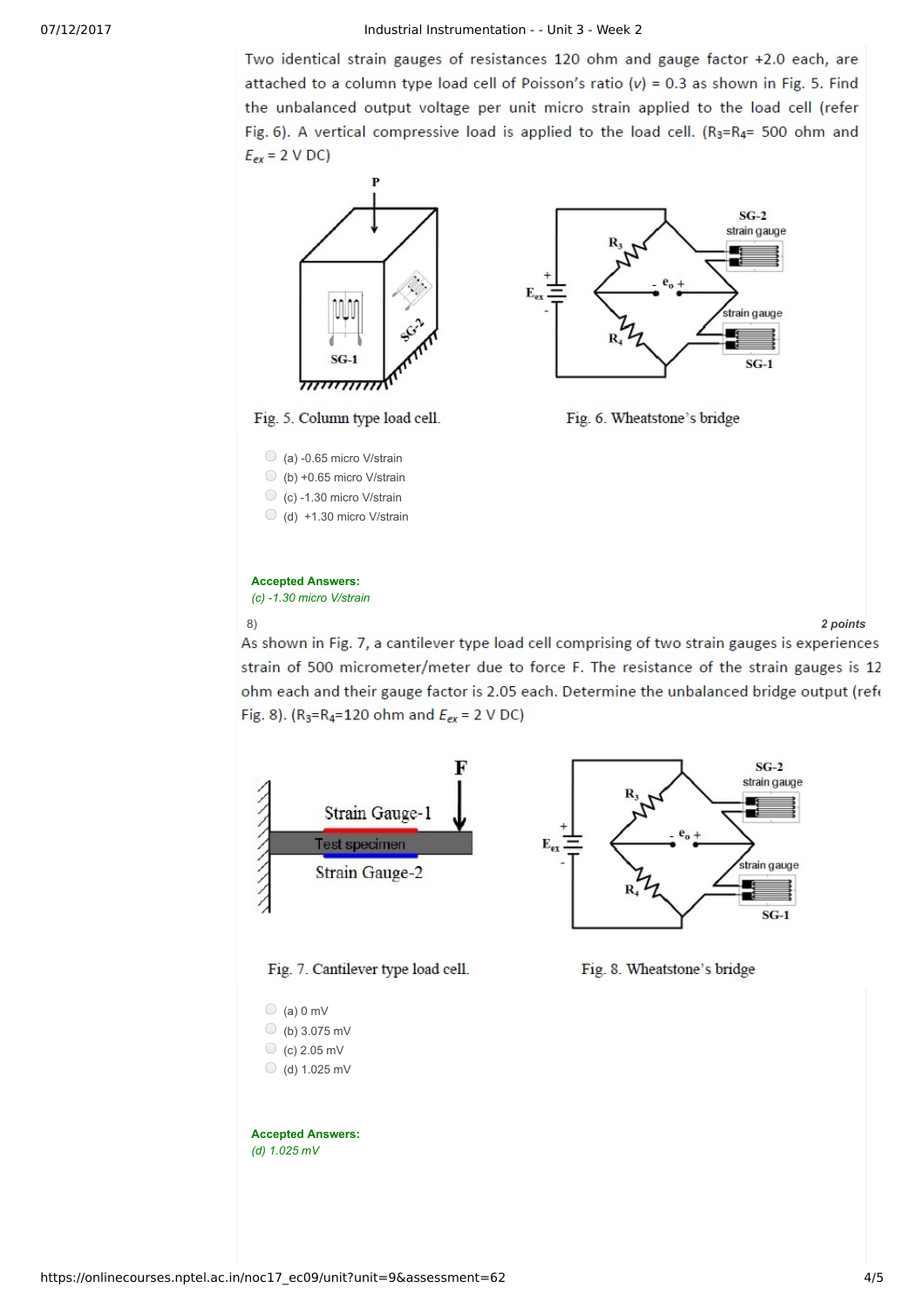Two identical strain gauges of resistances 120 ohm and gauge factor +2.0 each, are attached to a column type load cell of Poisson's ratio  $(v) = 0.3$  as shown in Fig. 5. Find the unbalanced output voltage per unit micro strain applied to the load cell (refer Fig. 6). A vertical compressive load is applied to the load cell. (R3=R4= 500 ohm and  $E_{ex}$  = 2 V DC)



8) *2 points*

As shown in Fig. 7, a cantilever type load cell comprising of two strain gauges is experiences strain of 500 micrometer/meter due to force F. The resistance of the strain gauges is 12 ohm each and their gauge factor is 2.05 each. Determine the unbalanced bridge output (refe Fig. 8). ( $R_3 = R_4 = 120$  ohm and  $E_{ex} = 2 \text{ V DC}$ )





Fig. 7. Cantilever type load cell.

 $\bigcirc$  (a) 0 mV  $\bigcirc$  (b) 3.075 mV  $\circ$  (c) 2.05 mV  $\bigcirc$  (d) 1.025 mV

### **Accepted Answers:** *(d) 1.025 mV*

Fig. 8. Wheatstone's bridge